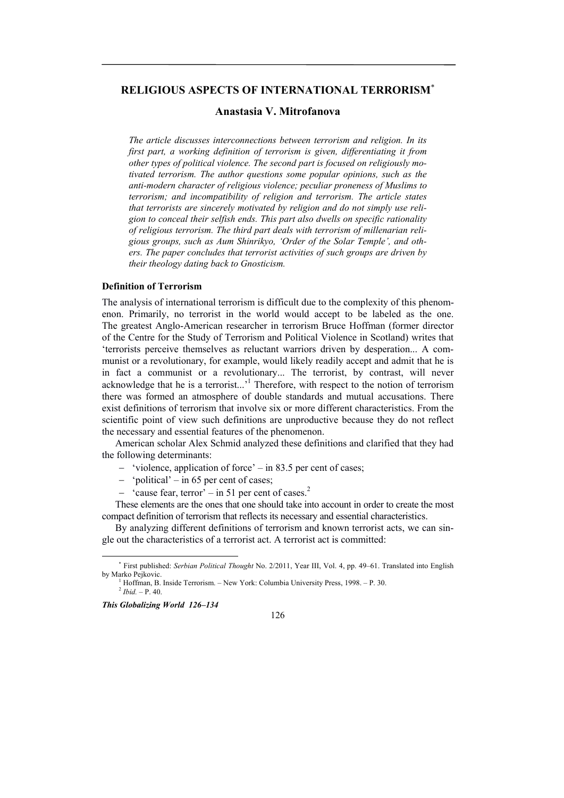# **RELIGIOUS ASPECTS OF INTERNATIONAL TERRORISM**

## **Anastasia V. Mitrofanova**

*The article discusses interconnections between terrorism and religion. In its first part, a working definition of terrorism is given, differentiating it from other types of political violence. The second part is focused on religiously motivated terrorism. The author questions some popular opinions, such as the anti-modern character of religious violence; peculiar proneness of Muslims to terrorism; and incompatibility of religion and terrorism. The article states that terrorists are sincerely motivated by religion and do not simply use religion to conceal their selfish ends. This part also dwells on specific rationality of religious terrorism. The third part deals with terrorism of millenarian religious groups, such as Aum Shinrikyo, 'Order of the Solar Temple', and others. The paper concludes that terrorist activities of such groups are driven by their theology dating back to Gnosticism.* 

#### **Definition of Terrorism**

The analysis of international terrorism is difficult due to the complexity of this phenomenon. Primarily, no terrorist in the world would accept to be labeled as the one. The greatest Anglo-American researcher in terrorism Bruce Hoffman (former director of the Centre for the Study of Terrorism and Political Violence in Scotland) writes that 'terrorists perceive themselves as reluctant warriors driven by desperation... A communist or a revolutionary, for example, would likely readily accept and admit that he is in fact a communist or a revolutionary... The terrorist, by contrast, will never acknowledge that he is a terrorist...<sup>1</sup> Therefore, with respect to the notion of terrorism there was formed an atmosphere of double standards and mutual accusations. There exist definitions of terrorism that involve six or more different characteristics. From the scientific point of view such definitions are unproductive because they do not reflect the necessary and essential features of the phenomenon.

American scholar Alex Schmid analyzed these definitions and clarified that they had the following determinants:

- 'violence, application of force' in 83.5 per cent of cases;
- $-$  'political' in 65 per cent of cases;
- $-$  'cause fear, terror' in 51 per cent of cases.<sup>2</sup>

These elements are the ones that one should take into account in order to create the most compact definition of terrorism that reflects its necessary and essential characteristics.

By analyzing different definitions of terrorism and known terrorist acts, we can single out the characteristics of a terrorist act. A terrorist act is committed:

126

<sup>1</sup> Hoffman, B. Inside Terrorism. – New York: Columbia University Press, 1998. – P. 30.  $\frac{2 \text{ Ibid.} - P. 40.}{ }$ 

*This Globalizing World 126–134* 

-

 First published: *Serbian Political Thought* No. 2/2011, Year III, Vol. 4, pp. 49–61. Translated into English by Marko Pejkovic.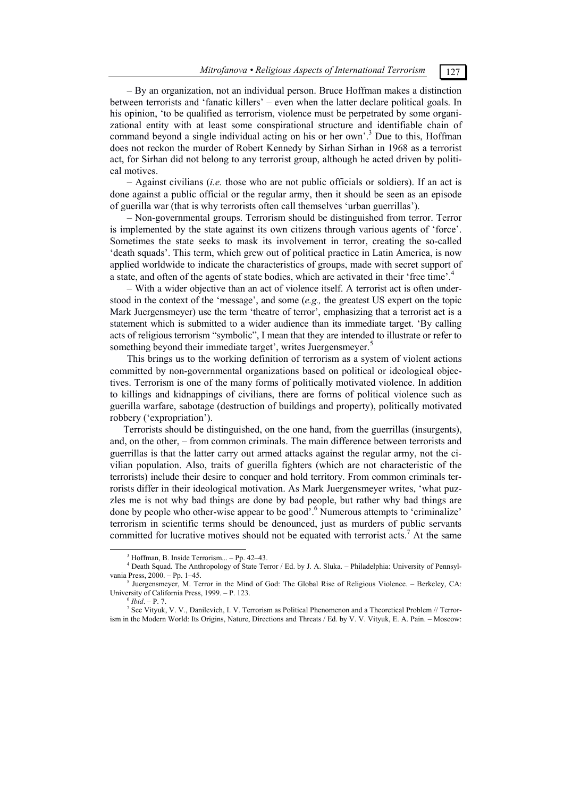*Mitrofanova • Religious Aspects of International Terrorism* 127

– By an organization, not an individual person. Bruce Hoffman makes a distinction between terrorists and 'fanatic killers' – even when the latter declare political goals. In his opinion, 'to be qualified as terrorism, violence must be perpetrated by some organizational entity with at least some conspirational structure and identifiable chain of command beyond a single individual acting on his or her own'.<sup>3</sup> Due to this, Hoffman does not reckon the murder of Robert Kennedy by Sirhan Sirhan in 1968 as a terrorist act, for Sirhan did not belong to any terrorist group, although he acted driven by political motives.

– Against civilians (*i.e.* those who are not public officials or soldiers). If an act is done against a public official or the regular army, then it should be seen as an episode of guerilla war (that is why terrorists often call themselves 'urban guerrillas').

– Non-governmental groups. Terrorism should be distinguished from terror. Terror is implemented by the state against its own citizens through various agents of 'force'. Sometimes the state seeks to mask its involvement in terror, creating the so-called 'death squads'. This term, which grew out of political practice in Latin America, is now applied worldwide to indicate the characteristics of groups, made with secret support of a state, and often of the agents of state bodies, which are activated in their 'free time'.<sup>4</sup>

– With a wider objective than an act of violence itself. A terrorist act is often understood in the context of the 'message', and some (*e.g.,* the greatest US expert on the topic Mark Juergensmeyer) use the term 'theatre of terror', emphasizing that a terrorist act is a statement which is submitted to a wider audience than its immediate target. 'By calling acts of religious terrorism "symbolic", I mean that they are intended to illustrate or refer to something beyond their immediate target', writes Juergensmeyer.<sup>5</sup>

This brings us to the working definition of terrorism as a system of violent actions committed by non-governmental organizations based on political or ideological objectives. Terrorism is one of the many forms of politically motivated violence. In addition to killings and kidnappings of civilians, there are forms of political violence such as guerilla warfare, sabotage (destruction of buildings and property), politically motivated robbery ('expropriation').

Terrorists should be distinguished, on the one hand, from the guerrillas (insurgents), and, on the other, – from common criminals. The main difference between terrorists and guerrillas is that the latter carry out armed attacks against the regular army, not the civilian population. Also, traits of guerilla fighters (which are not characteristic of the terrorists) include their desire to conquer and hold territory. From common criminals terrorists differ in their ideological motivation. As Mark Juergensmeyer writes, 'what puzzles me is not why bad things are done by bad people, but rather why bad things are done by people who other-wise appear to be good'.<sup>6</sup> Numerous attempts to 'criminalize' terrorism in scientific terms should be denounced, just as murders of public servants committed for lucrative motives should not be equated with terrorist acts.<sup>7</sup> At the same

 $\frac{3}{3}$  $3$  Hoffman, B. Inside Terrorism... – Pp. 42–43.

<sup>4</sup> Death Squad. The Anthropology of State Terror / Ed. by J. A. Sluka. – Philadelphia: University of Pennsylvania Press, 2000. – Pp. 1–45.

 $<sup>5</sup>$  Juergensmeyer, M. Terror in the Mind of God: The Global Rise of Religious Violence. – Berkeley, CA:</sup> University of California Press, 1999. – P. 123. 6 *Ibid*. – P. 7.

<sup>7</sup> See Vityuk, V. V., Danilevich, I. V. Terrorism as Political Phenomenon and a Theoretical Problem // Terrorism in the Modern World: Its Origins, Nature, Directions and Threats / Ed. by V. V. Vityuk, E. A. Pain. – Moscow: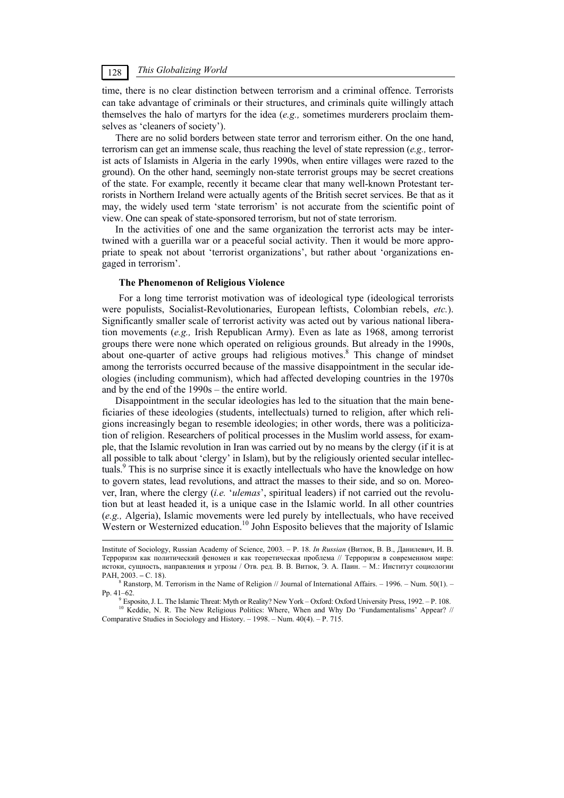## *This Globalizing World* 128

time, there is no clear distinction between terrorism and a criminal offence. Terrorists can take advantage of criminals or their structures, and criminals quite willingly attach themselves the halo of martyrs for the idea (*e.g.,* sometimes murderers proclaim themselves as 'cleaners of society').

There are no solid borders between state terror and terrorism either. On the one hand, terrorism can get an immense scale, thus reaching the level of state repression (*e.g.,* terrorist acts of Islamists in Algeria in the early 1990s, when entire villages were razed to the ground). On the other hand, seemingly non-state terrorist groups may be secret creations of the state. For example, recently it became clear that many well-known Protestant terrorists in Northern Ireland were actually agents of the British secret services. Be that as it may, the widely used term 'state terrorism' is not accurate from the scientific point of view. One can speak of state-sponsored terrorism, but not of state terrorism.

In the activities of one and the same organization the terrorist acts may be intertwined with a guerilla war or a peaceful social activity. Then it would be more appropriate to speak not about 'terrorist organizations', but rather about 'organizations engaged in terrorism'.

#### **The Phenomenon of Religious Violence**

For a long time terrorist motivation was of ideological type (ideological terrorists were populists, Socialist-Revolutionaries, European leftists, Colombian rebels, *etc.*). Significantly smaller scale of terrorist activity was acted out by various national liberation movements (*e.g.,* Irish Republican Army). Even as late as 1968, among terrorist groups there were none which operated on religious grounds. But already in the 1990s, about one-quarter of active groups had religious motives.<sup>8</sup> This change of mindset among the terrorists occurred because of the massive disappointment in the secular ideologies (including communism), which had affected developing countries in the 1970s and by the end of the 1990s – the entire world.

Disappointment in the secular ideologies has led to the situation that the main beneficiaries of these ideologies (students, intellectuals) turned to religion, after which religions increasingly began to resemble ideologies; in other words, there was a politicization of religion. Researchers of political processes in the Muslim world assess, for example, that the Islamic revolution in Iran was carried out by no means by the clergy (if it is at all possible to talk about 'clergy' in Islam), but by the religiously oriented secular intellectuals.<sup>9</sup> This is no surprise since it is exactly intellectuals who have the knowledge on how to govern states, lead revolutions, and attract the masses to their side, and so on. Moreover, Iran, where the clergy (*i.e.* '*ulemas*', spiritual leaders) if not carried out the revolution but at least headed it, is a unique case in the Islamic world. In all other countries (*e.g.,* Algeria), Islamic movements were led purely by intellectuals, who have received Western or Westernized education.<sup>10</sup> John Esposito believes that the majority of Islamic

Institute of Sociology, Russian Academy of Science, 2003. – P. 18. *In Russian* (Витюк, В. В., Данилевич, И. В. Терроризм как политический феномен и как теоретическая проблема // Терроризм в современном мире: истоки, сущность, направления и угрозы / Отв. ред. В. В. Витюк, Э. А. Паин. – М.: Институт социологии РАН, 2003. – С. 18).

 $R<sup>8</sup>$  Ranstorp, M. Terrorism in the Name of Religion // Journal of International Affairs. – 1996. – Num. 50(1). – Pp. 41–62.

Esposito, J. L. The Islamic Threat: Myth or Reality? New York – Oxford: Oxford University Press, 1992. – P. 108.

<sup>&</sup>lt;sup>10</sup> Keddie, N. R. The New Religious Politics: Where, When and Why Do 'Fundamentalisms' Appear? // Comparative Studies in Sociology and History. – 1998. – Num. 40(4). – P. 715.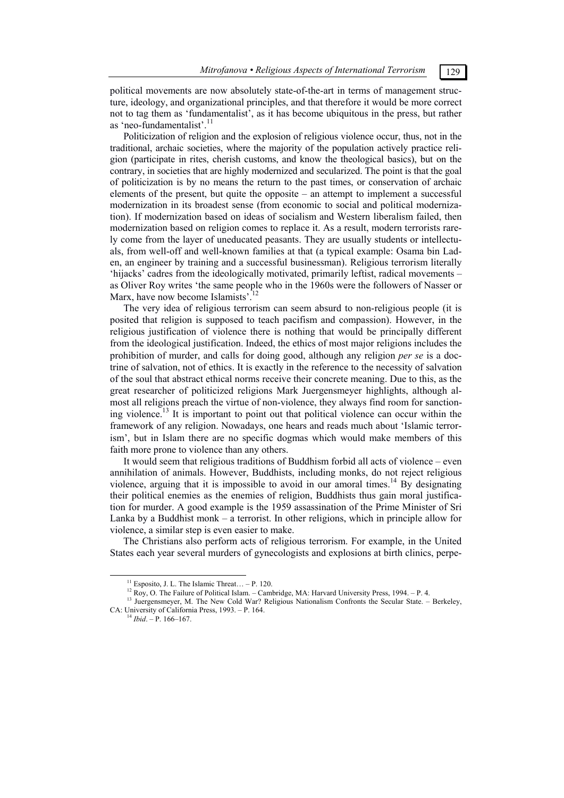political movements are now absolutely state-of-the-art in terms of management structure, ideology, and organizational principles, and that therefore it would be more correct not to tag them as 'fundamentalist', as it has become ubiquitous in the press, but rather as 'neo-fundamentalist'.<sup>11</sup>

Politicization of religion and the explosion of religious violence occur, thus, not in the traditional, archaic societies, where the majority of the population actively practice religion (participate in rites, cherish customs, and know the theological basics), but on the contrary, in societies that are highly modernized and secularized. The point is that the goal of politicization is by no means the return to the past times, or conservation of archaic elements of the present, but quite the opposite  $-$  an attempt to implement a successful modernization in its broadest sense (from economic to social and political modernization). If modernization based on ideas of socialism and Western liberalism failed, then modernization based on religion comes to replace it. As a result, modern terrorists rarely come from the layer of uneducated peasants. They are usually students or intellectuals, from well-off and well-known families at that (a typical example: Osama bin Laden, an engineer by training and a successful businessman). Religious terrorism literally 'hijacks' cadres from the ideologically motivated, primarily leftist, radical movements – as Oliver Roy writes 'the same people who in the 1960s were the followers of Nasser or Marx, have now become Islamists<sup>'.12</sup>

The very idea of religious terrorism can seem absurd to non-religious people (it is posited that religion is supposed to teach pacifism and compassion). However, in the religious justification of violence there is nothing that would be principally different from the ideological justification. Indeed, the ethics of most major religions includes the prohibition of murder, and calls for doing good, although any religion *per se* is a doctrine of salvation, not of ethics. It is exactly in the reference to the necessity of salvation of the soul that abstract ethical norms receive their concrete meaning. Due to this, as the great researcher of politicized religions Mark Juergensmeyer highlights, although almost all religions preach the virtue of non-violence, they always find room for sanctioning violence.<sup>13</sup> It is important to point out that political violence can occur within the framework of any religion. Nowadays, one hears and reads much about 'Islamic terrorism', but in Islam there are no specific dogmas which would make members of this faith more prone to violence than any others.

It would seem that religious traditions of Buddhism forbid all acts of violence – even annihilation of animals. However, Buddhists, including monks, do not reject religious violence, arguing that it is impossible to avoid in our amoral times.<sup>14</sup> By designating their political enemies as the enemies of religion, Buddhists thus gain moral justification for murder. A good example is the 1959 assassination of the Prime Minister of Sri Lanka by a Buddhist monk – a terrorist. In other religions, which in principle allow for violence, a similar step is even easier to make.

The Christians also perform acts of religious terrorism. For example, in the United States each year several murders of gynecologists and explosions at birth clinics, perpe-

<sup>&</sup>lt;sup>11</sup> Esposito, J. L. The Islamic Threat... – P. 120.<br><sup>12</sup> Roy, O. The Failure of Political Islam. – Cambridge, MA: Harvard University Press, 1994. – P. 4.

<sup>&</sup>lt;sup>13</sup> Juergensmeyer, M. The New Cold War? Religious Nationalism Confronts the Secular State. – Berkeley, CA: University of California Press, 1993. – P. 164. 14 *Ibid*. – P. 166–167.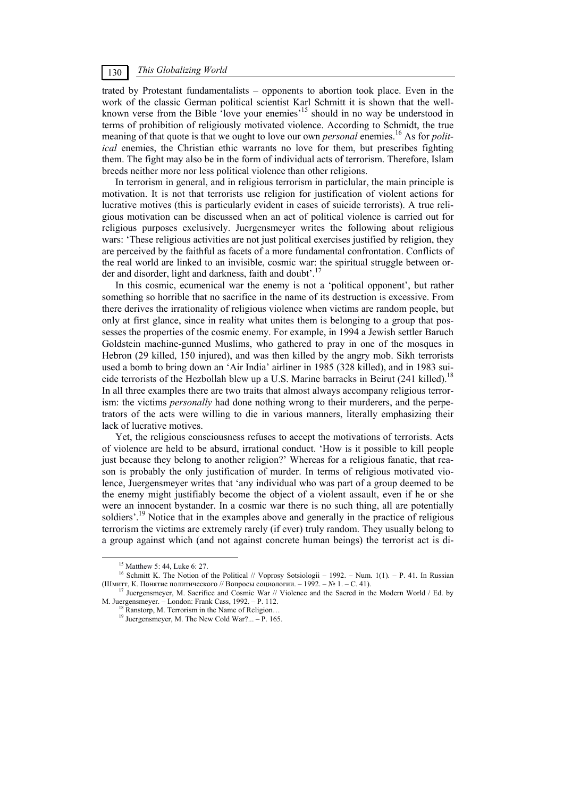## *This Globalizing World* 130

trated by Protestant fundamentalists – opponents to abortion took place. Even in the work of the classic German political scientist Karl Schmitt it is shown that the wellknown verse from the Bible 'love your enemies'<sup>15</sup> should in no way be understood in terms of prohibition of religiously motivated violence. According to Schmidt, the true meaning of that quote is that we ought to love our own *personal* enemies.<sup>16</sup> As for *political* enemies, the Christian ethic warrants no love for them, but prescribes fighting them. The fight may also be in the form of individual acts of terrorism. Therefore, Islam breeds neither more nor less political violence than other religions.

In terrorism in general, and in religious terrorism in particlular, the main principle is motivation. It is not that terrorists use religion for justification of violent actions for lucrative motives (this is particularly evident in cases of suicide terrorists). A true religious motivation can be discussed when an act of political violence is carried out for religious purposes exclusively. Juergensmeyer writes the following about religious wars: 'These religious activities are not just political exercises justified by religion, they are perceived by the faithful as facets of a more fundamental confrontation. Conflicts of the real world are linked to an invisible, cosmic war: the spiritual struggle between order and disorder, light and darkness, faith and doubt'.<sup>17</sup>

In this cosmic, ecumenical war the enemy is not a 'political opponent', but rather something so horrible that no sacrifice in the name of its destruction is excessive. From there derives the irrationality of religious violence when victims are random people, but only at first glance, since in reality what unites them is belonging to a group that possesses the properties of the cosmic enemy. For example, in 1994 a Jewish settler Baruch Goldstein machine-gunned Muslims, who gathered to pray in one of the mosques in Hebron (29 killed, 150 injured), and was then killed by the angry mob. Sikh terrorists used a bomb to bring down an 'Air India' airliner in 1985 (328 killed), and in 1983 suicide terrorists of the Hezbollah blew up a U.S. Marine barracks in Beirut (241 killed).<sup>18</sup> In all three examples there are two traits that almost always accompany religious terrorism: the victims *personally* had done nothing wrong to their murderers, and the perpetrators of the acts were willing to die in various manners, literally emphasizing their lack of lucrative motives.

Yet, the religious consciousness refuses to accept the motivations of terrorists. Acts of violence are held to be absurd, irrational conduct. 'How is it possible to kill people just because they belong to another religion?' Whereas for a religious fanatic, that reason is probably the only justification of murder. In terms of religious motivated violence, Juergensmeyer writes that 'any individual who was part of a group deemed to be the enemy might justifiably become the object of a violent assault, even if he or she were an innocent bystander. In a cosmic war there is no such thing, all are potentially soldiers'.<sup>19</sup> Notice that in the examples above and generally in the practice of religious terrorism the victims are extremely rarely (if ever) truly random. They usually belong to a group against which (and not against concrete human beings) the terrorist act is di-

<sup>&</sup>lt;sup>15</sup> Matthew 5: 44, Luke 6: 27.

<sup>&</sup>lt;sup>16</sup> Schmitt K. The Notion of the Political // Voprosy Sotsiologii – 1992. – Num. 1(1). – P. 41. In Russian (Шмитт, К. Понятие политического // Вопросы социологии. – 1992. – № 1. – С. 41).

Juergensmeyer, M. Sacrifice and Cosmic War // Violence and the Sacred in the Modern World / Ed. by M. Juergensmeyer. – London: Frank Cass, 1992. – P. 112.<br><sup>18</sup> Ranstorp, M. Terrorism in the Name of Religion… <sup>19</sup> Juergensmeyer, M. The New Cold War?... – P. 165.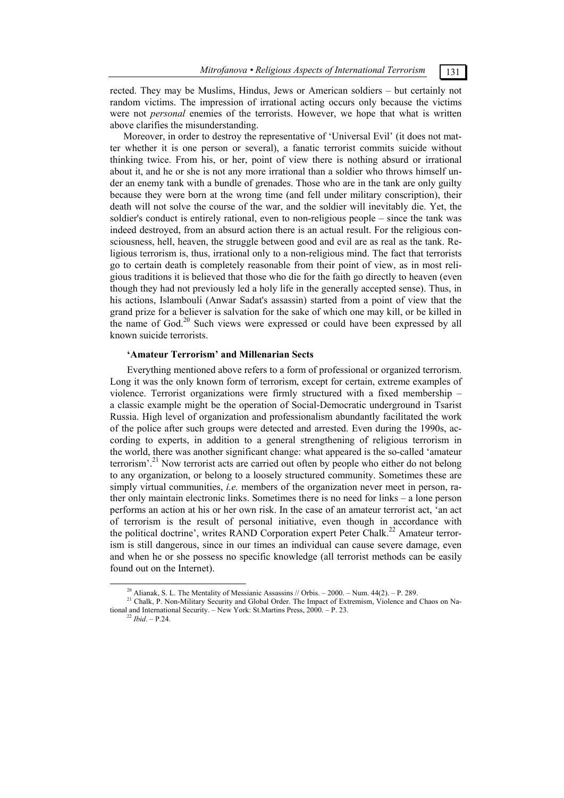## rected. They may be Muslims, Hindus, Jews or American soldiers – but certainly not random victims. The impression of irrational acting occurs only because the victims were not *personal* enemies of the terrorists. However, we hope that what is written above clarifies the misunderstanding.

Moreover, in order to destroy the representative of 'Universal Evil' (it does not matter whether it is one person or several), a fanatic terrorist commits suicide without thinking twice. From his, or her, point of view there is nothing absurd or irrational about it, and he or she is not any more irrational than a soldier who throws himself under an enemy tank with a bundle of grenades. Those who are in the tank are only guilty because they were born at the wrong time (and fell under military conscription), their death will not solve the course of the war, and the soldier will inevitably die. Yet, the soldier's conduct is entirely rational, even to non-religious people – since the tank was indeed destroyed, from an absurd action there is an actual result. For the religious consciousness, hell, heaven, the struggle between good and evil are as real as the tank. Religious terrorism is, thus, irrational only to a non-religious mind. The fact that terrorists go to certain death is completely reasonable from their point of view, as in most religious traditions it is believed that those who die for the faith go directly to heaven (even though they had not previously led a holy life in the generally accepted sense). Thus, in his actions, Islambouli (Anwar Sadat's assassin) started from a point of view that the grand prize for a believer is salvation for the sake of which one may kill, or be killed in the name of God.<sup>20</sup> Such views were expressed or could have been expressed by all known suicide terrorists.

### **'Amateur Terrorism' and Millenarian Sects**

Everything mentioned above refers to a form of professional or organized terrorism. Long it was the only known form of terrorism, except for certain, extreme examples of violence. Terrorist organizations were firmly structured with a fixed membership – a classic example might be the operation of Social-Democratic underground in Tsarist Russia. High level of organization and professionalism abundantly facilitated the work of the police after such groups were detected and arrested. Even during the 1990s, according to experts, in addition to a general strengthening of religious terrorism in the world, there was another significant change: what appeared is the so-called 'amateur terrorism'.<sup>21</sup> Now terrorist acts are carried out often by people who either do not belong to any organization, or belong to a loosely structured community. Sometimes these are simply virtual communities, *i.e.* members of the organization never meet in person, rather only maintain electronic links. Sometimes there is no need for links – a lone person performs an action at his or her own risk. In the case of an amateur terrorist act, 'an act of terrorism is the result of personal initiative, even though in accordance with the political doctrine', writes RAND Corporation expert Peter Chalk.<sup>22</sup> Amateur terrorism is still dangerous, since in our times an individual can cause severe damage, even and when he or she possess no specific knowledge (all terrorist methods can be easily found out on the Internet).

<sup>&</sup>lt;sup>20</sup> Alianak, S. L. The Mentality of Messianic Assassins // Orbis. – 2000. – Num. 44(2). – P. 289. <sup>21</sup> Chalk, P. Non-Military Security and Global Order. The Impact of Extremism, Violence and Chaos on National and International Security. – New York: St.Martins Press, 2000. – P. 23. 22 *Ibid*. – P.24.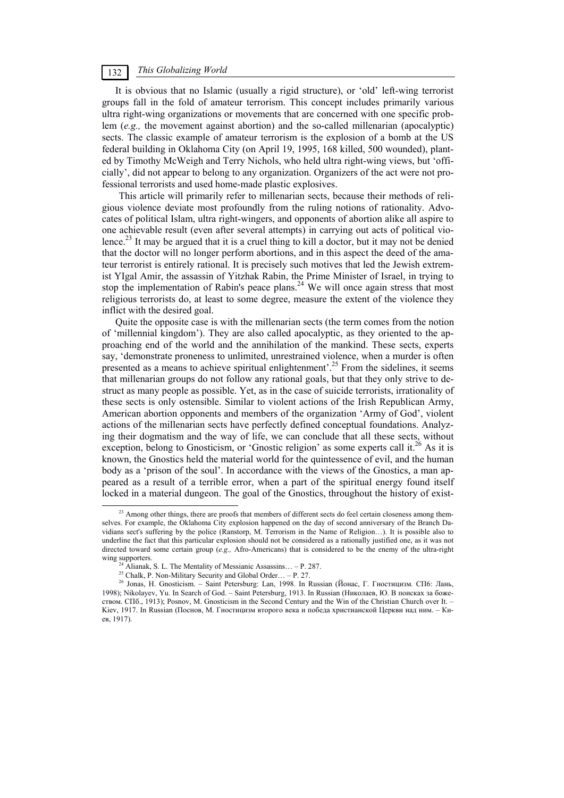## *This Globalizing World* 132

It is obvious that no Islamic (usually a rigid structure), or 'old' left-wing terrorist groups fall in the fold of amateur terrorism. This concept includes primarily various ultra right-wing organizations or movements that are concerned with one specific problem (*e.g.,* the movement against abortion) and the so-called millenarian (apocalyptic) sects. The classic example of amateur terrorism is the explosion of a bomb at the US federal building in Oklahoma City (on April 19, 1995, 168 killed, 500 wounded), planted by Timothy McWeigh and Terry Nichols, who held ultra right-wing views, but 'officially', did not appear to belong to any organization. Organizers of the act were not professional terrorists and used home-made plastic explosives.

This article will primarily refer to millenarian sects, because their methods of religious violence deviate most profoundly from the ruling notions of rationality. Advocates of political Islam, ultra right-wingers, and opponents of abortion alike all aspire to one achievable result (even after several attempts) in carrying out acts of political violence.<sup>23</sup> It may be argued that it is a cruel thing to kill a doctor, but it may not be denied that the doctor will no longer perform abortions, and in this aspect the deed of the amateur terrorist is entirely rational. It is precisely such motives that led the Jewish extremist YIgal Amir, the assassin of Yitzhak Rabin, the Prime Minister of Israel, in trying to stop the implementation of Rabin's peace plans.<sup>24</sup> We will once again stress that most religious terrorists do, at least to some degree, measure the extent of the violence they inflict with the desired goal.

Quite the opposite case is with the millenarian sects (the term comes from the notion of 'millennial kingdom'). They are also called apocalyptic, as they oriented to the approaching end of the world and the annihilation of the mankind. These sects, experts say, 'demonstrate proneness to unlimited, unrestrained violence, when a murder is often presented as a means to achieve spiritual enlightenment'.<sup>25</sup> From the sidelines, it seems that millenarian groups do not follow any rational goals, but that they only strive to destruct as many people as possible. Yet, as in the case of suicide terrorists, irrationality of these sects is only ostensible. Similar to violent actions of the Irish Republican Army, American abortion opponents and members of the organization 'Army of God', violent actions of the millenarian sects have perfectly defined conceptual foundations. Analyzing their dogmatism and the way of life, we can conclude that all these sects, without exception, belong to Gnosticism, or 'Gnostic religion' as some experts call it.<sup>26</sup> As it is known, the Gnostics held the material world for the quintessence of evil, and the human body as a 'prison of the soul'. In accordance with the views of the Gnostics, a man appeared as a result of a terrible error, when a part of the spiritual energy found itself locked in a material dungeon. The goal of the Gnostics, throughout the history of exist-

<sup>&</sup>lt;sup>23</sup> Among other things, there are proofs that members of different sects do feel certain closeness among themselves. For example, the Oklahoma City explosion happened on the day of second anniversary of the Branch Davidians sect's suffering by the police (Ranstorp, M. Terrorism in the Name of Religion…). It is possible also to underline the fact that this particular explosion should not be considered as a rationally justified one, as it was not directed toward some certain group (*e.g.,* Afro-Americans) that is considered to be the enemy of the ultra-right wing supporters. <sup>24</sup> Alianak, S. L. The Mentality of Messianic Assassins... – P. 287. <sup>25</sup> Chalk, P. Non-Military Security and Global Order... – P. 27.

<sup>26</sup> Jonas, H. Gnosticism. – Saint Petersburg: Lan, 1998. In Russian (Йонас, Г. Гностицизм*.* СП6: Лань, 1998); Nikolayev, Yu. In Search of God. – Saint Petersburg, 1913. In Russian (Николаев, Ю. В поисках за божеством. СПб., 1913); Posnov, M. Gnosticism in the Second Century and the Win of the Christian Church over It. – Kiev, 1917. In Russian (Поснов, М. Гностицизм второго века и победа христианской Церкви над ним. – Киев, 1917).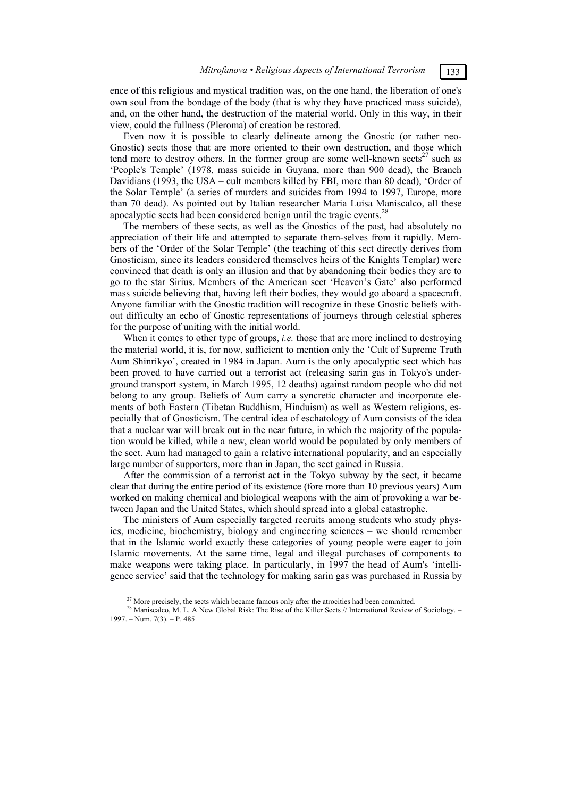ence of this religious and mystical tradition was, on the one hand, the liberation of one's own soul from the bondage of the body (that is why they have practiced mass suicide), and, on the other hand, the destruction of the material world. Only in this way, in their view, could the fullness (Pleroma) of creation be restored.

Even now it is possible to clearly delineate among the Gnostic (or rather neo-Gnostic) sects those that are more oriented to their own destruction, and those which tend more to destroy others. In the former group are some well-known sects<sup>27</sup> such as 'People's Temple' (1978, mass suicide in Guyana, more than 900 dead), the Branch Davidians (1993, the USA – cult members killed by FBI, more than 80 dead), 'Order of the Solar Temple' (a series of murders and suicides from 1994 to 1997, Europe, more than 70 dead). As pointed out by Italian researcher Maria Luisa Maniscalco, all these apocalyptic sects had been considered benign until the tragic events.<sup>28</sup>

The members of these sects, as well as the Gnostics of the past, had absolutely no appreciation of their life and attempted to separate them-selves from it rapidly. Members of the 'Order of the Solar Temple' (the teaching of this sect directly derives from Gnosticism, since its leaders considered themselves heirs of the Knights Templar) were convinced that death is only an illusion and that by abandoning their bodies they are to go to the star Sirius. Members of the American sect 'Heaven's Gate' also performed mass suicide believing that, having left their bodies, they would go aboard a spacecraft. Anyone familiar with the Gnostic tradition will recognize in these Gnostic beliefs without difficulty an echo of Gnostic representations of journeys through celestial spheres for the purpose of uniting with the initial world.

When it comes to other type of groups, *i.e.* those that are more inclined to destroying the material world, it is, for now, sufficient to mention only the 'Cult of Supreme Truth Aum Shinrikyo', created in 1984 in Japan. Aum is the only apocalyptic sect which has been proved to have carried out a terrorist act (releasing sarin gas in Tokyo's underground transport system, in March 1995, 12 deaths) against random people who did not belong to any group. Beliefs of Aum carry a syncretic character and incorporate elements of both Eastern (Tibetan Buddhism, Hinduism) as well as Western religions, especially that of Gnosticism. The central idea of eschatology of Aum consists of the idea that a nuclear war will break out in the near future, in which the majority of the population would be killed, while a new, clean world would be populated by only members of the sect. Aum had managed to gain a relative international popularity, and an especially large number of supporters, more than in Japan, the sect gained in Russia.

After the commission of a terrorist act in the Tokyo subway by the sect, it became clear that during the entire period of its existence (fore more than 10 previous years) Aum worked on making chemical and biological weapons with the aim of provoking a war between Japan and the United States, which should spread into a global catastrophe.

The ministers of Aum especially targeted recruits among students who study physics, medicine, biochemistry, biology and engineering sciences – we should remember that in the Islamic world exactly these categories of young people were eager to join Islamic movements. At the same time, legal and illegal purchases of components to make weapons were taking place. In particularly, in 1997 the head of Aum's 'intelligence service' said that the technology for making sarin gas was purchased in Russia by

<sup>&</sup>lt;sup>27</sup> More precisely, the sects which became famous only after the atrocities had been committed.<br><sup>28</sup> Maniscalco, M. L. A New Global Risk: The Rise of the Killer Sects // International Review of Sociology. – 1997. – Num. 7(3). – P. 485.